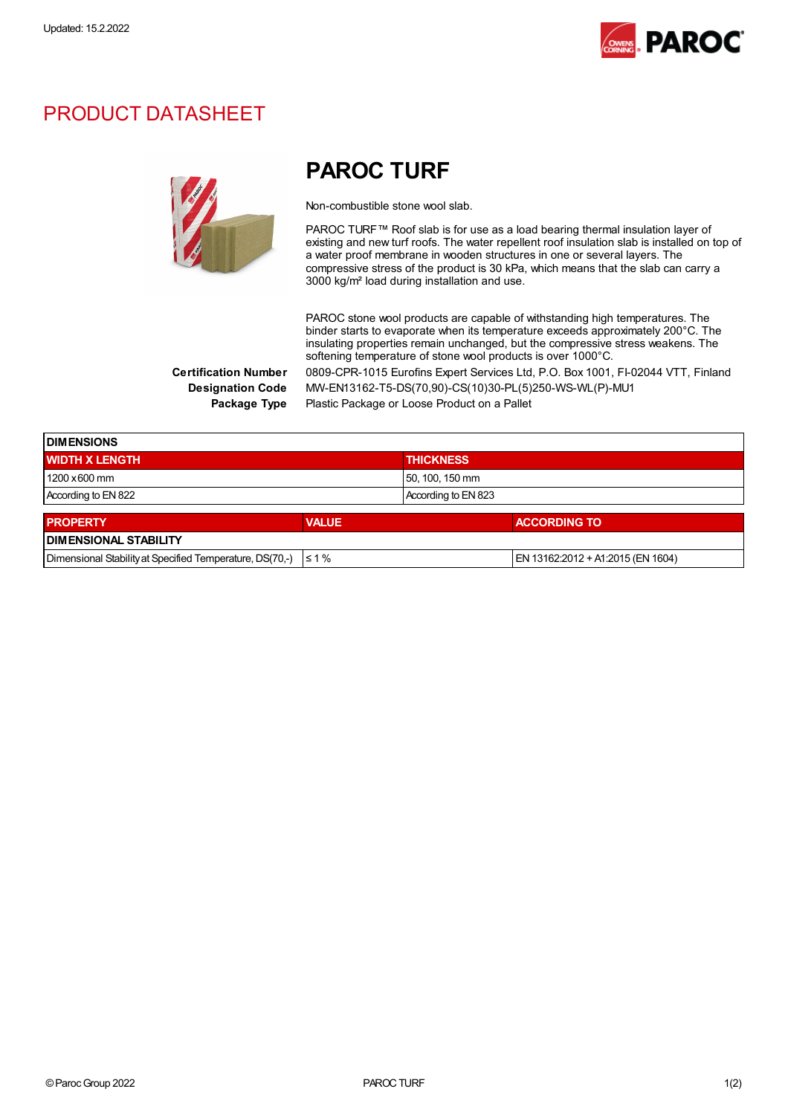

## PRODUCT DATASHEET



## PAROC TURF

Non-combustible stone wool slab.

PAROC TURF™ Roof slab is for use as a load bearing thermal insulation layer of existing and new turf roofs. The water repellent roof insulation slab is installed on top of a water proof membrane in wooden structures in one or several layers. The compressive stress of the product is 30 kPa, which means that the slab can carry a 3000 kg/m² load during installation and use.

PAROC stone wool products are capable of withstanding high temperatures. The binder starts to evaporate when its temperature exceeds approximately 200°C. The insulating properties remain unchanged, but the compressive stress weakens. The softening temperature of stone wool products is over 1000°C. Certification Number 0809-CPR-1015 Eurofins Expert Services Ltd, P.O. Box 1001, FI-02044 VTT, Finland Designation Code MW-EN13162-T5-DS(70,90)-CS(10)30-PL(5)250-WS-WL(P)-MU1 Package Type Plastic Package or Loose Product on a Pallet

| <b>DIMENSIONS</b>                                        |              |                     |                                   |  |
|----------------------------------------------------------|--------------|---------------------|-----------------------------------|--|
| <b>WIDTH X LENGTH</b>                                    |              | <b>THICKNESS</b>    |                                   |  |
| $1200 \times 600$ mm                                     |              | 50, 100, 150 mm     |                                   |  |
| According to EN 822                                      |              | According to EN 823 |                                   |  |
| <b>PROPERTY</b>                                          | <b>VALUE</b> |                     | <b>ACCORDING TO</b>               |  |
| <b>DIMENSIONAL STABILITY</b>                             |              |                     |                                   |  |
| Dimensional Stability at Specified Temperature, DS(70,-) | $\leq 1\%$   |                     | EN 13162:2012 + A1:2015 (EN 1604) |  |